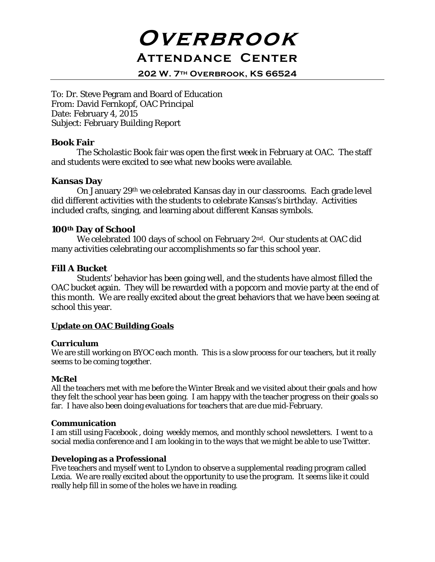# **Overbrook Attendance Center**

**202 W. 7th Overbrook, KS 66524**

To: Dr. Steve Pegram and Board of Education From: David Fernkopf, OAC Principal Date: February 4, 2015 Subject: February Building Report

### **Book Fair**

The Scholastic Book fair was open the first week in February at OAC. The staff and students were excited to see what new books were available.

## **Kansas Day**

On January 29th we celebrated Kansas day in our classrooms. Each grade level did different activities with the students to celebrate Kansas's birthday. Activities included crafts, singing, and learning about different Kansas symbols.

### **100th Day of School**

We celebrated 100 days of school on February 2nd. Our students at OAC did many activities celebrating our accomplishments so far this school year.

### **Fill A Bucket**

Students' behavior has been going well, and the students have almost filled the OAC bucket again. They will be rewarded with a popcorn and movie party at the end of this month. We are really excited about the great behaviors that we have been seeing at school this year.

#### **Update on OAC Building Goals**

#### **Curriculum**

We are still working on BYOC each month. This is a slow process for our teachers, but it really seems to be coming together.

#### **McRel**

All the teachers met with me before the Winter Break and we visited about their goals and how they felt the school year has been going. I am happy with the teacher progress on their goals so far. I have also been doing evaluations for teachers that are due mid-February.

#### **Communication**

I am still using Facebook , doing weekly memos, and monthly school newsletters. I went to a social media conference and I am looking in to the ways that we might be able to use Twitter.

#### **Developing as a Professional**

Five teachers and myself went to Lyndon to observe a supplemental reading program called Lexia. We are really excited about the opportunity to use the program. It seems like it could really help fill in some of the holes we have in reading.